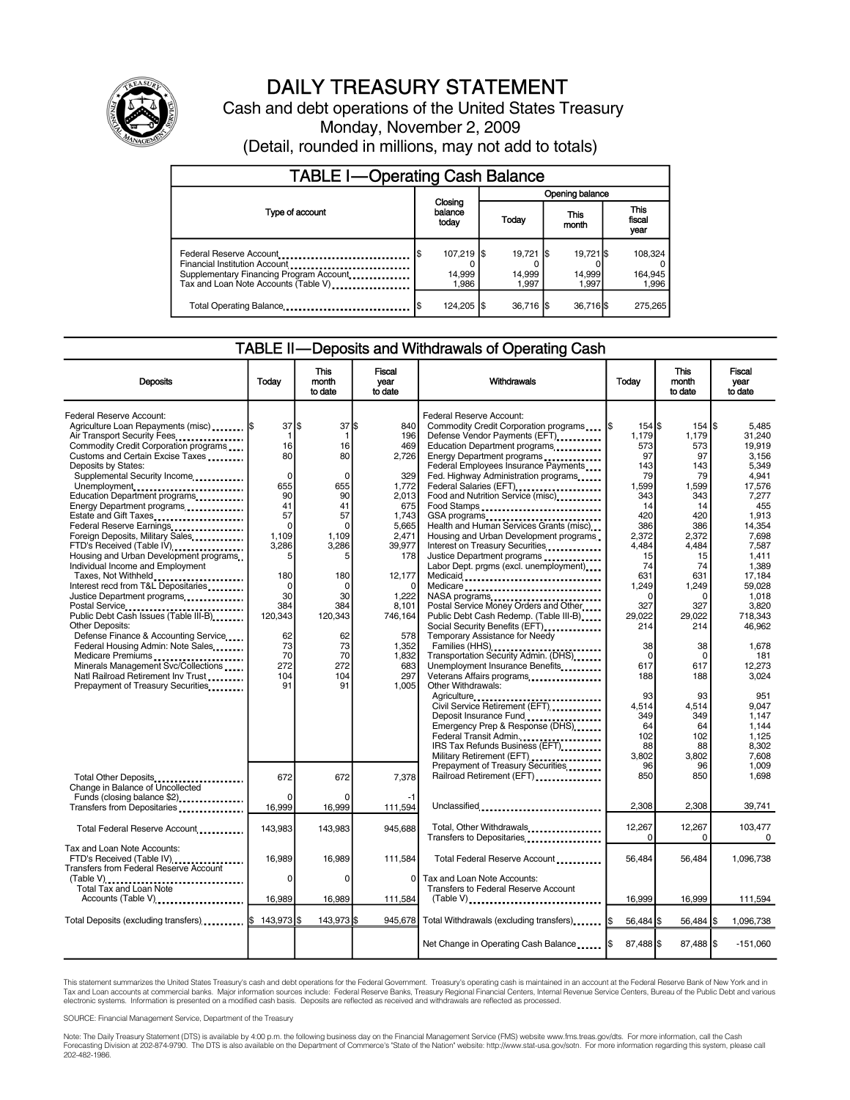

# DAILY TREASURY STATEMENT

Cash and debt operations of the United States Treasury Monday, November 2, 2009 (Detail, rounded in millions, may not add to totals)

| <b>TABLE I-Operating Cash Balance</b>                                                                                                       |                             |                               |  |                                |               |                              |  |                               |  |
|---------------------------------------------------------------------------------------------------------------------------------------------|-----------------------------|-------------------------------|--|--------------------------------|---------------|------------------------------|--|-------------------------------|--|
|                                                                                                                                             |                             |                               |  | Opening balance                |               |                              |  |                               |  |
| Type of account                                                                                                                             | Closing<br>balance<br>today |                               |  | <b>Today</b>                   | This<br>month |                              |  | <b>This</b><br>fiscal<br>year |  |
| Federal Reserve Account<br>Financial Institution Account<br>Supplementary Financing Program Account<br>Tax and Loan Note Accounts (Table V) |                             | 107,219 \$<br>14,999<br>1.986 |  | $19,721$ \$<br>14,999<br>1.997 |               | 19.721 \$<br>14.999<br>1.997 |  | 108.324<br>164,945<br>1.996   |  |
| Total Operating Balance                                                                                                                     |                             | 124,205   \$                  |  | 36.716 S                       |               | 36,716 \$                    |  | 275,265                       |  |

#### TABLE II—Deposits and Withdrawals of Operating Cash

| <b>Deposits</b>                                                                                                                                                                                                                                                                                                                                                                                                                                                                                                                                                                                                                                                                                                                                                                                                                                                                                                   | Todav                                                                                                                                                                                 | <b>This</b><br>month<br>to date                                                                                                                                                 | Fiscal<br>vear<br>to date                                                                                                                                                                                 | Withdrawals                                                                                                                                                                                                                                                                                                                                                                                                                                                                                                                                                                                                                                                                                                                                                                                                                                                                                                                                                                                                                                                                   | Todav                                                                                                                                                                                                                                                    | <b>This</b><br>month<br>to date                                                                                                                                                                                                                     | <b>Fiscal</b><br>vear<br>to date                                                                                                                                                                                                                                                                 |
|-------------------------------------------------------------------------------------------------------------------------------------------------------------------------------------------------------------------------------------------------------------------------------------------------------------------------------------------------------------------------------------------------------------------------------------------------------------------------------------------------------------------------------------------------------------------------------------------------------------------------------------------------------------------------------------------------------------------------------------------------------------------------------------------------------------------------------------------------------------------------------------------------------------------|---------------------------------------------------------------------------------------------------------------------------------------------------------------------------------------|---------------------------------------------------------------------------------------------------------------------------------------------------------------------------------|-----------------------------------------------------------------------------------------------------------------------------------------------------------------------------------------------------------|-------------------------------------------------------------------------------------------------------------------------------------------------------------------------------------------------------------------------------------------------------------------------------------------------------------------------------------------------------------------------------------------------------------------------------------------------------------------------------------------------------------------------------------------------------------------------------------------------------------------------------------------------------------------------------------------------------------------------------------------------------------------------------------------------------------------------------------------------------------------------------------------------------------------------------------------------------------------------------------------------------------------------------------------------------------------------------|----------------------------------------------------------------------------------------------------------------------------------------------------------------------------------------------------------------------------------------------------------|-----------------------------------------------------------------------------------------------------------------------------------------------------------------------------------------------------------------------------------------------------|--------------------------------------------------------------------------------------------------------------------------------------------------------------------------------------------------------------------------------------------------------------------------------------------------|
| Federal Reserve Account:<br>Agriculture Loan Repayments (misc)  \$<br>Air Transport Security Fees<br>Commodity Credit Corporation programs<br>Customs and Certain Excise Taxes<br>Deposits by States:<br>Supplemental Security Income.<br>Unemployment<br>Education Department programs<br>Energy Department programs<br>Estate and Gift Taxes<br>Federal Reserve Earnings<br>Foreign Deposits, Military Sales<br>FTD's Received (Table IV)<br>Housing and Urban Development programs<br>Individual Income and Employment<br>Taxes, Not Withheld<br>Interest recd from T&L Depositaries<br>Justice Department programs<br><br>Public Debt Cash Issues (Table III-B)<br><b>Other Deposits:</b><br>Defense Finance & Accounting Service<br>Federal Housing Admin: Note Sales<br>Medicare Premiums<br>Minerals Management Svc/Collections<br>Natl Railroad Retirement Inv Trust<br>Prepayment of Treasury Securities | 37 IS<br>1<br>16<br>80<br>$\Omega$<br>655<br>90<br>41<br>57<br>$\mathbf 0$<br>1,109<br>3,286<br>5<br>180<br>$\mathbf 0$<br>30<br>384<br>120,343<br>62<br>73<br>70<br>272<br>104<br>91 | 37 \$<br>1<br>16<br>80<br>$\Omega$<br>655<br>90<br>41<br>57<br>$\Omega$<br>1,109<br>3,286<br>5<br>180<br>$\Omega$<br>30<br>384<br>120,343<br>62<br>73<br>70<br>272<br>104<br>91 | 840<br>196<br>469<br>2,726<br>329<br>1,772<br>2,013<br>675<br>1,743<br>5,665<br>2,471<br>39,977<br>178<br>12,177<br>$\Omega$<br>1.222<br>8,101<br>746,164<br>578<br>1,352<br>1,832<br>683<br>297<br>1.005 | Federal Reserve Account:<br>Commodity Credit Corporation programs<br>Defense Vendor Payments (EFT)<br>Education Department programs<br>Energy Department programs<br><br>Federal Employees Insurance Payments<br>Fed. Highway Administration programs<br>Federal Salaries (EFT)<br>Food and Nutrition Service (misc)<br>Food Stamps<br>GSA programs<br>Health and Human Services Grants (misc)<br>Housing and Urban Development programs<br>Interest on Treasury Securities<br>Justice Department programs<br>Labor Dept. prgms (excl. unemployment)<br>Medicare<br>NASA programs<br>Postal Service Money Orders and Other<br>Public Debt Cash Redemp. (Table III-B)<br>Social Security Benefits (EFT)<br>Temporary Assistance for Needy<br>Transportation Security Admin. (DHS)<br>Unemployment Insurance Benefits<br>Veterans Affairs programs<br>Other Withdrawals:<br>Agriculture<br>Civil Service Retirement (EFT)<br>Deposit Insurance Fund<br>Emergency Prep & Response (DHS)<br>Federal Transit Admin.<br>IRS Tax Refunds Business (EFT)<br>Military Retirement (EFT) | $154$ $\frac{15}{3}$<br>1.179<br>573<br>97<br>143<br>79<br>1,599<br>343<br>14<br>420<br>386<br>2,372<br>4.484<br>15<br>74<br>631<br>1,249<br>O<br>327<br>29.022<br>214<br>38<br>$\Omega$<br>617<br>188<br>93<br>4,514<br>349<br>64<br>102<br>88<br>3.802 | 154 S<br>1,179<br>573<br>97<br>143<br>79<br>1,599<br>343<br>14<br>420<br>386<br>2,372<br>4,484<br>15<br>74<br>631<br>1,249<br>$\Omega$<br>327<br>29,022<br>214<br>38<br>$\mathbf 0$<br>617<br>188<br>93<br>4.514<br>349<br>64<br>102<br>88<br>3,802 | 5.485<br>31.240<br>19,919<br>3.156<br>5,349<br>4.941<br>17,576<br>7.277<br>455<br>1,913<br>14,354<br>7.698<br>7,587<br>1.411<br>1,389<br>17,184<br>59,028<br>1,018<br>3,820<br>718.343<br>46.962<br>1,678<br>181<br>12,273<br>3.024<br>951<br>9.047<br>1,147<br>1,144<br>1,125<br>8.302<br>7.608 |
| Total Other Deposits<br>Change in Balance of Uncollected<br>Funds (closing balance \$2)                                                                                                                                                                                                                                                                                                                                                                                                                                                                                                                                                                                                                                                                                                                                                                                                                           | 672<br>$\Omega$                                                                                                                                                                       | 672<br>$\Omega$                                                                                                                                                                 | 7.378<br>$-1$                                                                                                                                                                                             | Prepayment of Treasury Securities<br>Railroad Retirement (EFT)                                                                                                                                                                                                                                                                                                                                                                                                                                                                                                                                                                                                                                                                                                                                                                                                                                                                                                                                                                                                                | 96<br>850                                                                                                                                                                                                                                                | 96<br>850                                                                                                                                                                                                                                           | 1.009<br>1,698                                                                                                                                                                                                                                                                                   |
| Transfers from Depositaries<br>Total Federal Reserve Account                                                                                                                                                                                                                                                                                                                                                                                                                                                                                                                                                                                                                                                                                                                                                                                                                                                      | 16,999<br>143,983                                                                                                                                                                     | 16,999<br>143,983                                                                                                                                                               | 111,594<br>945.688                                                                                                                                                                                        | Unclassified<br>Total, Other Withdrawals                                                                                                                                                                                                                                                                                                                                                                                                                                                                                                                                                                                                                                                                                                                                                                                                                                                                                                                                                                                                                                      | 2.308<br>12,267<br>$\Omega$                                                                                                                                                                                                                              | 2,308<br>12,267                                                                                                                                                                                                                                     | 39,741<br>103,477                                                                                                                                                                                                                                                                                |
| Tax and Loan Note Accounts:<br>FTD's Received (Table IV)<br>Transfers from Federal Reserve Account<br>Total Tax and Loan Note<br>Accounts (Table V)                                                                                                                                                                                                                                                                                                                                                                                                                                                                                                                                                                                                                                                                                                                                                               | 16.989<br>0<br>16,989                                                                                                                                                                 | 16.989<br>$\Omega$<br>16,989                                                                                                                                                    | 111.584<br>$\Omega$<br>111,584                                                                                                                                                                            | Transfers to Depositaries<br>Total Federal Reserve Account<br>Tax and Loan Note Accounts:<br>Transfers to Federal Reserve Account                                                                                                                                                                                                                                                                                                                                                                                                                                                                                                                                                                                                                                                                                                                                                                                                                                                                                                                                             | 56.484<br>16,999                                                                                                                                                                                                                                         | 0<br>56.484<br>16,999                                                                                                                                                                                                                               | 0<br>1,096,738                                                                                                                                                                                                                                                                                   |
| Total Deposits (excluding transfers) \$ 143,973 \$                                                                                                                                                                                                                                                                                                                                                                                                                                                                                                                                                                                                                                                                                                                                                                                                                                                                |                                                                                                                                                                                       | 143.973 \$                                                                                                                                                                      | 945.678                                                                                                                                                                                                   | $(Table V)$                                                                                                                                                                                                                                                                                                                                                                                                                                                                                                                                                                                                                                                                                                                                                                                                                                                                                                                                                                                                                                                                   | 56,484 \$                                                                                                                                                                                                                                                | 56,484   \$                                                                                                                                                                                                                                         | 111,594<br>1,096,738                                                                                                                                                                                                                                                                             |
|                                                                                                                                                                                                                                                                                                                                                                                                                                                                                                                                                                                                                                                                                                                                                                                                                                                                                                                   |                                                                                                                                                                                       |                                                                                                                                                                                 |                                                                                                                                                                                                           | Net Change in Operating Cash Balance                                                                                                                                                                                                                                                                                                                                                                                                                                                                                                                                                                                                                                                                                                                                                                                                                                                                                                                                                                                                                                          | 87,488 \$                                                                                                                                                                                                                                                | 87,488 \$                                                                                                                                                                                                                                           | $-151,060$                                                                                                                                                                                                                                                                                       |

This statement summarizes the United States Treasury's cash and debt operations for the Federal Government. Treasury's operating cash is maintained in an account at the Federal Reserve Bank of New York and in Tax and Loan accounts at commercial banks. Major information sources include: Federal Reserve Banks, Treasury Regional Financial Centers, Internal Revenue Service Centers, Bureau of the Public Debt and various<br>electronic s

SOURCE: Financial Management Service, Department of the Treasury

Note: The Daily Treasury Statement (DTS) is available by 4:00 p.m. the following business day on the Financial Management Service (FMS) website www.fms.treas.gov/dts. For more information, call the Cash<br>Forecasting Divisio